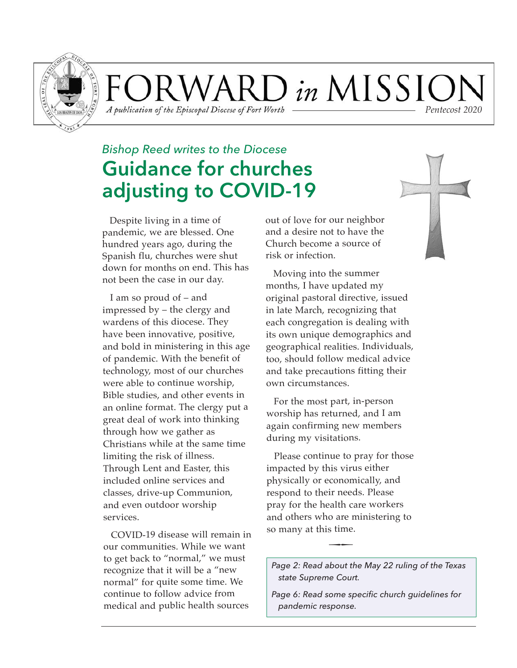

ORWARD in MISSIC A publication of the Episcopal Diocese of Fort Worth *Pentecost 2020*

## *Bishop Reed writes to the Diocese* **Guidance for churches adjusting to COVID-19**

Despite living in a time of pandemic, we are blessed. One hundred years ago, during the Spanish flu, churches were shut down for months on end. This has not been the case in our day.

I am so proud of – and impressed by – the clergy and wardens of this diocese. They have been innovative, positive, and bold in ministering in this age of pandemic. With the benefit of technology, most of our churches were able to continue worship, Bible studies, and other events in an online format. The clergy put a great deal of work into thinking through how we gather as Christians while at the same time limiting the risk of illness. Through Lent and Easter, this included online services and classes, drive-up Communion, and even outdoor worship services.

COVID-19 disease will remain in our communities. While we want to get back to "normal," we must recognize that it will be a "new normal" for quite some time. We continue to follow advice from medical and public health sources

out of love for our neighbor and a desire not to have the Church become a source of risk or infection.

Moving into the summer months, I have updated my original pastoral directive, issued in late March, recognizing that each congregation is dealing with its own unique demographics and geographical realities. Individuals, too, should follow medical advice and take precautions fitting their own circumstances.

For the most part, in-person worship has returned, and I am again confirming new members during my visitations.

Please continue to pray for those impacted by this virus either physically or economically, and respond to their needs. Please pray for the health care workers and others who are ministering to so many at this time.

--

*Page 2: Read about the May 22 ruling of the Texas state Supreme Court.*

*Page 6: Read some specific church guidelines for pandemic response.*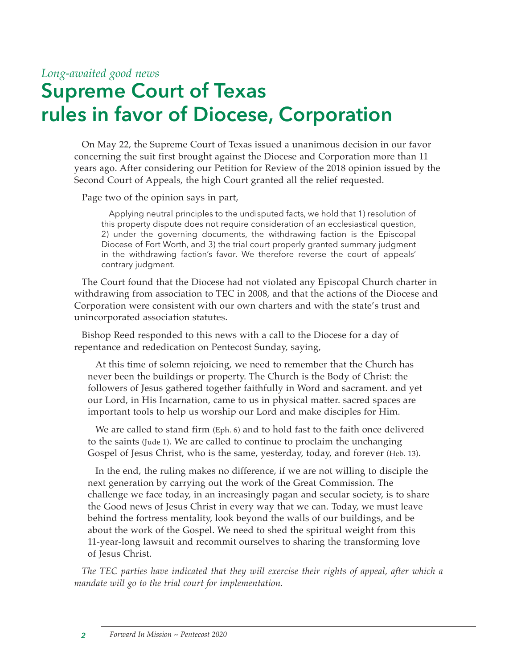#### *Long-awaited good news*

# **Supreme Court of Texas rules in favor of Diocese, Corporation**

On May 22, the Supreme Court of Texas issued a unanimous decision in our favor concerning the suit first brought against the Diocese and Corporation more than 11 years ago. After considering our Petition for Review of the 2018 opinion issued by the Second Court of Appeals, the high Court granted all the relief requested.

Page two of the opinion says in part,

Applying neutral principles to the undisputed facts, we hold that 1) resolution of this property dispute does not require consideration of an ecclesiastical question, 2) under the governing documents, the withdrawing faction is the Episcopal Diocese of Fort Worth, and 3) the trial court properly granted summary judgment in the withdrawing faction's favor. We therefore reverse the court of appeals' contrary judgment.

The Court found that the Diocese had not violated any Episcopal Church charter in withdrawing from association to TEC in 2008, and that the actions of the Diocese and Corporation were consistent with our own charters and with the state's trust and unincorporated association statutes.

Bishop Reed responded to this news with a call to the Diocese for a day of repentance and rededication on Pentecost Sunday, saying,

At this time of solemn rejoicing, we need to remember that the Church has never been the buildings or property. The Church is the Body of Christ: the followers of Jesus gathered together faithfully in Word and sacrament. and yet our Lord, in His Incarnation, came to us in physical matter. sacred spaces are important tools to help us worship our Lord and make disciples for Him.

We are called to stand firm (Eph. 6) and to hold fast to the faith once delivered to the saints (Jude 1). We are called to continue to proclaim the unchanging Gospel of Jesus Christ, who is the same, yesterday, today, and forever (Heb. 13).

In the end, the ruling makes no difference, if we are not willing to disciple the next generation by carrying out the work of the Great Commission. The challenge we face today, in an increasingly pagan and secular society, is to share the Good news of Jesus Christ in every way that we can. Today, we must leave behind the fortress mentality, look beyond the walls of our buildings, and be about the work of the Gospel. We need to shed the spiritual weight from this 11-year-long lawsuit and recommit ourselves to sharing the transforming love of Jesus Christ.

*The TEC parties have indicated that they will exercise their rights of appeal, after which a mandate will go to the trial court for implementation.*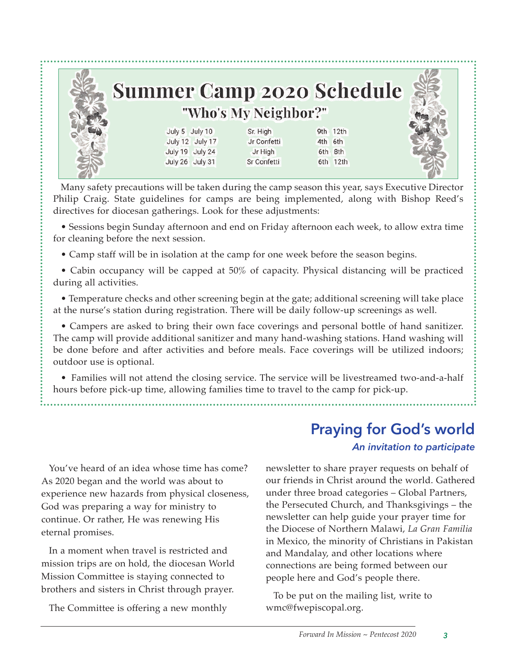

Many safety precautions will be taken during the camp season this year, says Executive Director Philip Craig. State guidelines for camps are being implemented, along with Bishop Reed's directives for diocesan gatherings. Look for these adjustments:

• Sessions begin Sunday afternoon and end on Friday afternoon each week, to allow extra time for cleaning before the next session.

• Camp staff will be in isolation at the camp for one week before the season begins.

• Cabin occupancy will be capped at 50% of capacity. Physical distancing will be practiced during all activities.

• Temperature checks and other screening begin at the gate; additional screening will take place at the nurse's station during registration. There will be daily follow-up screenings as well.

• Campers are asked to bring their own face coverings and personal bottle of hand sanitizer. The camp will provide additional sanitizer and many hand-washing stations. Hand washing will be done before and after activities and before meals. Face coverings will be utilized indoors; outdoor use is optional.

• Families will not attend the closing service. The service will be livestreamed two-and-a-half hours before pick-up time, allowing families time to travel to the camp for pick-up.

# **Praying for God's world**

#### *An invitation to participate*

You've heard of an idea whose time has come? As 2020 began and the world was about to experience new hazards from physical closeness, God was preparing a way for ministry to continue. Or rather, He was renewing His eternal promises.

In a moment when travel is restricted and mission trips are on hold, the diocesan World Mission Committee is staying connected to brothers and sisters in Christ through prayer.

The Committee is offering a new monthly

newsletter to share prayer requests on behalf of our friends in Christ around the world. Gathered under three broad categories – Global Partners, the Persecuted Church, and Thanks givings – the newsletter can help guide your prayer time for the Diocese of Northern Malawi, *La Gran Familia* in Mexico, the minority of Christians in Pakistan and Mandalay, and other locations where connections are being formed between our people here and God's people there.

To be put on the mailing list, write to wmc@fwepiscopal.org.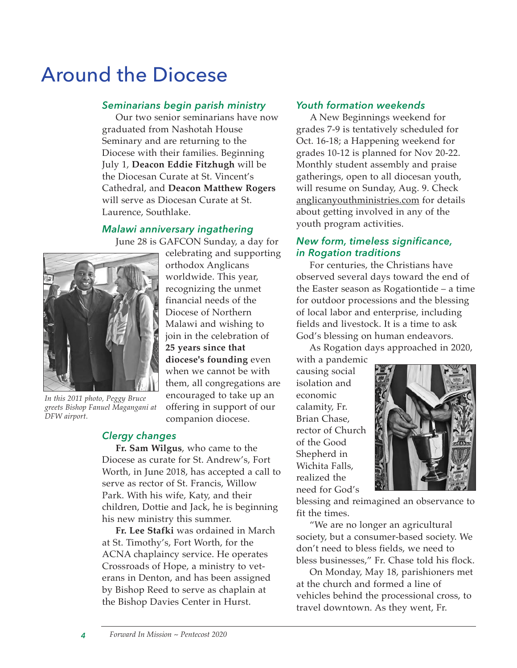# Around the Diocese

#### *Seminarians begin parish ministry*

Our two senior seminarians have now graduated from Nashotah House Seminary and are returning to the Diocese with their families. Beginning July 1, **Deacon Eddie Fitzhugh** will be the Diocesan Curate at St. Vincent's Cathedral, and **Deacon Matthew Rogers** will serve as Diocesan Curate at St. Laurence, Southlake.

#### *Malawi anniversary ingathering*

June 28 is GAFCON Sunday, a day for



*In this 2011 photo, Peggy Bruce greets Bishop Fanuel Magangani at DFW airport.*

celebrating and supporting orthodox Anglicans worldwide. This year, recognizing the unmet financial needs of the Diocese of Northern Malawi and wishing to join in the celebration of **25 years since that diocese's founding** even when we cannot be with them, all congregations are encouraged to take up an offering in support of our companion diocese.

#### *Clergy changes*

**Fr. Sam Wilgus**, who came to the Diocese as curate for St. Andrew's, Fort Worth, in June 2018, has accepted a call to serve as rector of St. Francis, Willow Park. With his wife, Katy, and their children, Dottie and Jack, he is beginning his new ministry this summer.

**Fr. Lee Stafki** was ordained in March at St. Timothy's, Fort Worth, for the ACNA chaplaincy service. He operates Crossroads of Hope, a ministry to veterans in Denton, and has been assigned by Bishop Reed to serve as chaplain at the Bishop Davies Center in Hurst.

#### *Youth formation weekends*

A New Beginnings weekend for grades 7-9 is tentatively scheduled for Oct. 16-18; a Happening weekend for grades 10-12 is planned for Nov 20-22. Monthly student assembly and praise gatherings, open to all diocesan youth, will resume on Sunday, Aug. 9. Check anglicanyouthministries.com for details about getting involved in any of the youth program activities.

#### *New form, timeless significance, in Rogation traditions*

For centuries, the Christians have observed several days toward the end of the Easter season as Rogationtide – a time for outdoor processions and the blessing of local labor and enterprise, including fields and livestock. It is a time to ask God's blessing on human endeavors.

As Rogation days approached in 2020,

with a pandemic causing social isolation and economic calamity, Fr. Brian Chase, rector of Church of the Good Shepherd in Wichita Falls, realized the need for God's



blessing and reimagined an observance to fit the times.

"We are no longer an agricultural society, but a consumer-based society. We don't need to bless fields, we need to bless businesses," Fr. Chase told his flock.

On Monday, May 18, parishioners met at the church and formed a line of vehicles behind the processional cross, to travel downtown. As they went, Fr.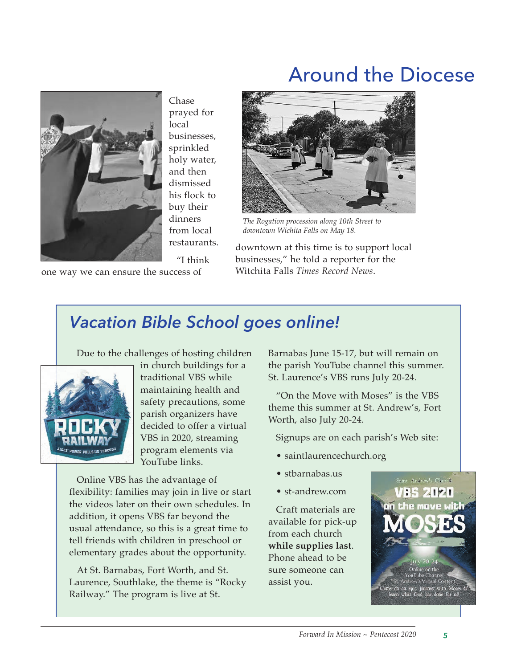## Around the Diocese



Chase prayed for local businesses, sprinkled holy water, and then dismissed his flock to buy their dinners from local restaurants.

"I think

one way we can ensure the success of



*The Rogation procession along 10th Street to downtown Wichita Falls on May 18.* 

downtown at this time is to support local businesses," he told a reporter for the Witchita Falls *Times Record News*.

### *Vacation Bible School goes online!*

Due to the challenges of hosting children



in church buildings for a traditional VBS while maintaining health and safety precautions, some parish organizers have decided to offer a virtual VBS in 2020, streaming program elements via YouTube links.

Online VBS has the advantage of flexibility: families may join in live or start the videos later on their own schedules. In addition, it opens VBS far beyond the usual attendance, so this is a great time to tell friends with children in preschool or elementary grades about the opportunity.

At St. Barnabas, Fort Worth, and St. Laurence, Southlake, the theme is "Rocky Railway." The program is live at St.

Barnabas June 15-17, but will remain on the parish YouTube channel this summer. St. Laurence's VBS runs July 20-24.

"On the Move with Moses" is the VBS theme this summer at St. Andrew's, Fort Worth, also July 20-24.

Signups are on each parish's Web site:

- saintlaurencechurch.org
- stbarnabas.us
- st-andrew.com

Craft materials are available for pick-up from each church **while supplies last**. Phone ahead to be sure someone can assist you.

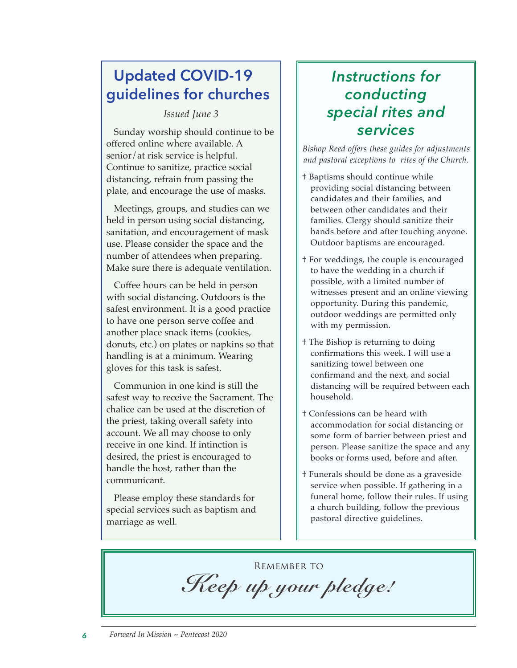### **Updated COVID-19 guidelines for churches**

*Issued June 3*

Sunday worship should continue to be offered online where available. A senior/at risk service is helpful. Continue to sanitize, practice social distancing, refrain from passing the plate, and encourage the use of masks.

Meetings, groups, and studies can we held in person using social distancing, sanitation, and encouragement of mask use. Please consider the space and the number of attendees when preparing. Make sure there is adequate ventilation.

Coffee hours can be held in person with social distancing. Outdoors is the safest environment. It is a good practice to have one person serve coffee and another place snack items (cookies, donuts, etc.) on plates or napkins so that handling is at a minimum. Wearing gloves for this task is safest.

Communion in one kind is still the safest way to receive the Sacrament. The chalice can be used at the discretion of the priest, taking overall safety into account. We all may choose to only receive in one kind. If intinction is desired, the priest is encouraged to handle the host, rather than the communicant.

Please employ these standards for special services such as baptism and marriage as well.

### *Instructions for conducting special rites and services*

*Bishop Reed offers these guides for adjustments and pastoral exceptions to rites of the Church.* 

- † Baptisms should continue while providing social distancing between candidates and their families, and between other candidates and their families. Clergy should sanitize their hands before and after touching anyone. Outdoor baptisms are encouraged.
- † For weddings, the couple is encouraged to have the wedding in a church if possible, with a limited number of witnesses present and an online viewing opportunity. During this pandemic, outdoor weddings are permitted only with my permission.
- † The Bishop is returning to doing confirmations this week. I will use a sanitizing towel between one confirmand and the next, and social distancing will be required between each household.
- † Confessions can be heard with accommodation for social distancing or some form of barrier between priest and person. Please sanitize the space and any books or forms used, before and after.
- † Funerals should be done as a graveside service when possible. If gathering in a funeral home, follow their rules. If using a church building, follow the previous pastoral directive guidelines.

Remember to

*Keep up your pledge!*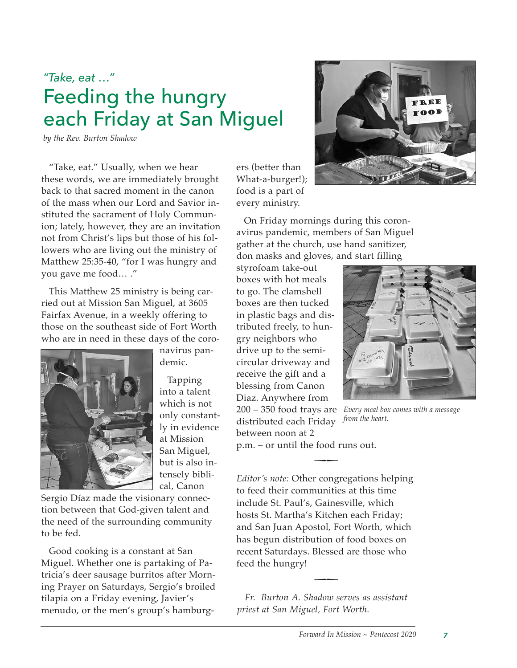## *"Take, eat …"* Feeding the hungry each Friday at San Miguel

*by the Rev. Burton Shadow*

"Take, eat." Usually, when we hear these words, we are immediately brought back to that sacred moment in the canon of the mass when our Lord and Savior instituted the sacrament of Holy Communion; lately, however, they are an invitation not from Christ's lips but those of his followers who are living out the ministry of Matthew 25:35-40, "for I was hungry and you gave me food… ."

This Matthew 25 ministry is being carried out at Mission San Miguel, at 3605 Fairfax Avenue, in a weekly offering to those on the southeast side of Fort Worth who are in need in these days of the coro-

> navirus pandemic.

> > into a talent which is not only constantly in evidence at Mission San Miguel, but is also intensely biblical, Canon

Sergio Díaz made the visionary connection between that God-given talent and the need of the surrounding community to be fed.

Good cooking is a constant at San Miguel. Whether one is partaking of Patricia's deer sausage burritos after Morning Prayer on Saturdays, Sergio's broiled tilapia on a Friday evening, Javier's menudo, or the men's group's hamburgers (better than What-a-burger!); food is a part of every ministry.

On Friday mornings during this coronavirus pandemic, members of San Miguel gather at the church, use hand sanitizer, don masks and gloves, and start filling

styrofoam take-out boxes with hot meals to go. The clamshell boxes are then tucked in plastic bags and distributed freely, to hungry neighbors who drive up to the semicircular driveway and receive the gift and a blessing from Canon Diaz. Anywhere from

distributed each Friday between noon at 2

200 – 350 food trays are *Every meal box comes with a message from the heart.*

p.m. – or until the food runs out.

*Editor's note:* Other congregations helping to feed their communities at this time include St. Paul's, Gainesville, which hosts St. Martha's Kitchen each Friday; and San Juan Apostol, Fort Worth, which has begun distribution of food boxes on recent Saturdays. Blessed are those who feed the hungry!

 $\overline{\phantom{a}}$ 

*Fr. Burton A. Shadow serves as assistant priest at San Miguel, Fort Worth.*

 $\overline{\phantom{a}}$